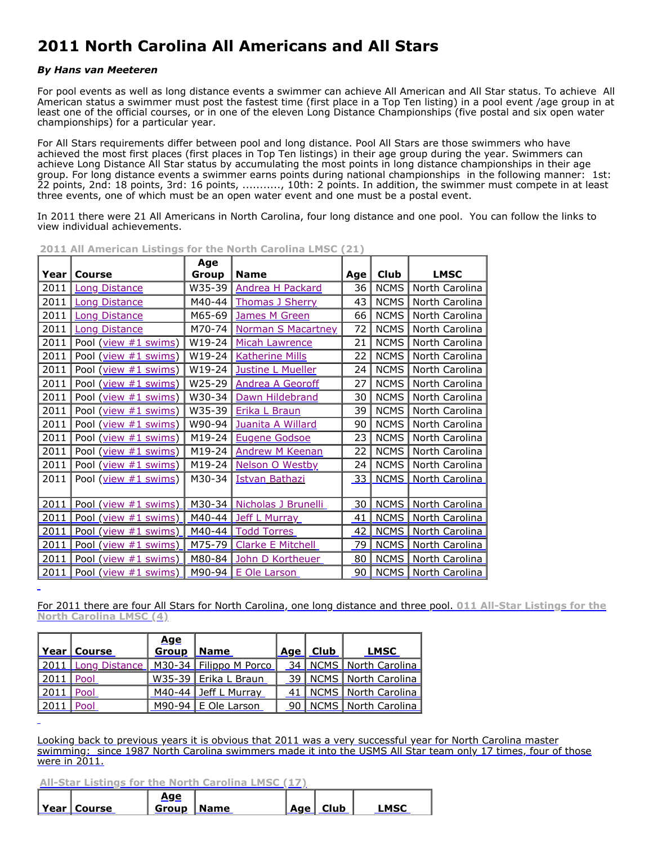## **2011 North Carolina All Americans and All Stars**

## *By Hans van Meeteren*

For pool events as well as long distance events a swimmer can achieve All American and All Star status. To achieve All American status a swimmer must post the fastest time (first place in a Top Ten listing) in a pool event /age group in at least one of the official courses, or in one of the eleven Long Distance Championships (five postal and six open water championships) for a particular year.

For All Stars requirements differ between pool and long distance. Pool All Stars are those swimmers who have achieved the most first places (first places in Top Ten listings) in their age group during the year. Swimmers can achieve Long Distance All Star status by accumulating the most points in long distance championships in their age group. For long distance events a swimmer earns points during national championships in the following manner: 1st: 22 points, 2nd: 18 points, 3rd: 16 points, ..........., 10th: 2 points. In addition, the swimmer must compete in at least three events, one of which must be an open water event and one must be a postal event.

In 2011 there were 21 All Americans in North Carolina, four long distance and one pool. You can follow the links to view individual achievements.

| Year | Course               | Age<br>Group | <b>Name</b>              | Age | <b>Club</b> | <b>LMSC</b>    |
|------|----------------------|--------------|--------------------------|-----|-------------|----------------|
| 2011 | <b>Long Distance</b> | W35-39       | <b>Andrea H Packard</b>  | 36  | <b>NCMS</b> | North Carolina |
| 2011 | <b>Long Distance</b> | M40-44       | <b>Thomas J Sherry</b>   | 43  | <b>NCMS</b> | North Carolina |
| 2011 | <b>Long Distance</b> | M65-69       | <b>James M Green</b>     | 66  | <b>NCMS</b> | North Carolina |
| 2011 | <b>Long Distance</b> | M70-74       | Norman S Macartney       | 72  | <b>NCMS</b> | North Carolina |
| 2011 | Pool (view #1 swims) | W19-24       | Micah Lawrence           | 21  | <b>NCMS</b> | North Carolina |
| 2011 | Pool (view #1 swims) | W19-24       | <b>Katherine Mills</b>   | 22  | <b>NCMS</b> | North Carolina |
| 2011 | Pool (view #1 swims) | W19-24       | Justine L Mueller        | 24  | <b>NCMS</b> | North Carolina |
| 2011 | Pool (view #1 swims) | W25-29       | <b>Andrea A Georoff</b>  | 27  | <b>NCMS</b> | North Carolina |
| 2011 | Pool (view #1 swims) | W30-34       | Dawn Hildebrand          | 30  | <b>NCMS</b> | North Carolina |
| 2011 | Pool (view #1 swims) | W35-39       | Erika L Braun            | 39  | <b>NCMS</b> | North Carolina |
| 2011 | Pool (view #1 swims) | W90-94       | Juanita A Willard        | 90  | <b>NCMS</b> | North Carolina |
| 2011 | Pool (view #1 swims) | M19-24       | <b>Eugene Godsoe</b>     | 23  | <b>NCMS</b> | North Carolina |
| 2011 | Pool (view #1 swims) | M19-24       | <b>Andrew M Keenan</b>   | 22  | <b>NCMS</b> | North Carolina |
| 2011 | Pool (view #1 swims) | M19-24       | Nelson O Westby          | 24  | <b>NCMS</b> | North Carolina |
| 2011 | Pool (view #1 swims) | M30-34       | <b>Istvan Bathazi</b>    | 33  | <b>NCMS</b> | North Carolina |
|      |                      |              |                          |     |             |                |
| 2011 | Pool (view #1 swims) | M30-34       | Nicholas J Brunelli      | 30  | <b>NCMS</b> | North Carolina |
| 2011 | Pool (view #1 swims) | M40-44       | Jeff L<br>Murray         | 41  | <b>NCMS</b> | North Carolina |
| 2011 | Pool (view #1 swims) | M40-44       | <b>Todd Torres</b>       | 42  | <b>NCMS</b> | North Carolina |
| 2011 | Pool (view #1 swims) | M75-79       | <b>Clarke E Mitchell</b> | 79  | <b>NCMS</b> | North Carolina |
| 2011 | Pool (view #1 swims) | M80-84       | John D Kortheuer         | 80  | <b>NCMS</b> | North Carolina |
| 2011 | Pool (view #1 swims) | M90-94       | E Ole Larson             | 90  | <b>NCMS</b> | North Carolina |

**2011 All American Listings for the North Carolina LMSC (21)**

[For 2011 there are four All Stars for North Carolina, one long distance and three pool.](http://www.usms.org/people/023UX) **011 All-Star Listings for the North Carolina LMSC (4)**

|                    | Year   Course | Age<br><b>Group</b> | Name                                            | Age   Club | LMSC                       |
|--------------------|---------------|---------------------|-------------------------------------------------|------------|----------------------------|
|                    |               |                     | 2011   Long Distance   M30-34   Filippo M Porco |            | 34   NCMS   North Carolina |
| $2011$ Pool        |               |                     | W35-39   Erika L Braun                          |            | 39   NCMS   North Carolina |
| $\sqrt{2011}$ Pool |               |                     | M40-44 Jeff L Murray                            |            | 41 NCMS North Carolina     |
| $\sqrt{2011}$ Pool |               |                     | M90-94 $E$ Ole Larson                           |            | 90   NCMS   North Carolina |

Looking back to previous years it is obvious that 2011 was a very successful year for North Carolina master [swimming: since 1987 North Carolina swimmers made it into the USMS All Star team only 17 times, four of those](http://www.usms.org/comp/tt/toptenind.php?Year=2011&SwimmerID=023UX) were in 2011.

**[All-Star Listings for the North Carolina LMSC \(17\)](http://www.usms.org/comp/tt/toptenind.php?Year=2011&SwimmerID=023UX)**

|               | <u>Age</u>        |  |          |             |
|---------------|-------------------|--|----------|-------------|
| Year   Course | <b>Group Name</b> |  | Age Club | <b>LMSC</b> |